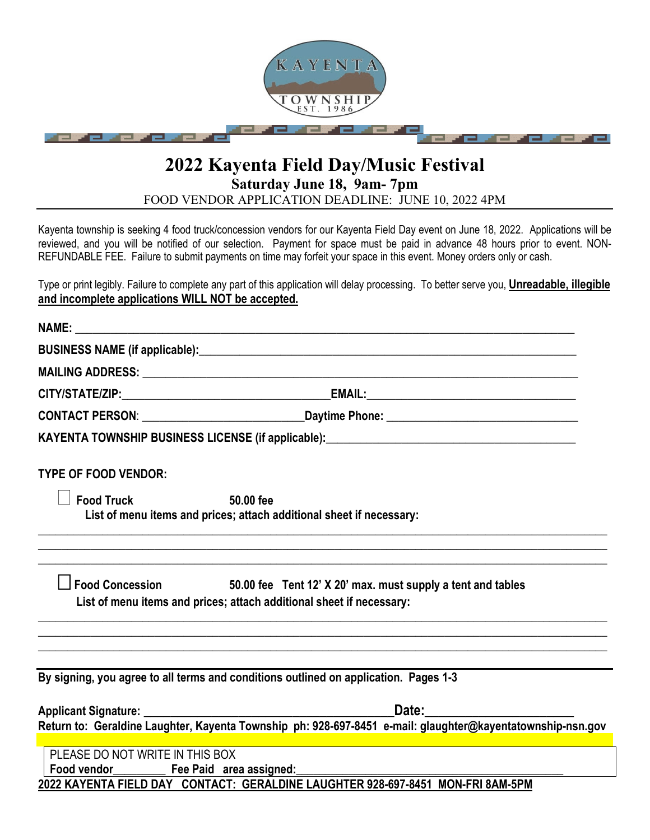

# **2022 Kayenta Field Day/Music Festival Saturday June 18, 9am- 7pm**

FOOD VENDOR APPLICATION DEADLINE: JUNE 10, 2022 4PM

Kayenta township is seeking 4 food truck/concession vendors for our Kayenta Field Day event on June 18, 2022. Applications will be reviewed, and you will be notified of our selection. Payment for space must be paid in advance 48 hours prior to event. NON-REFUNDABLE FEE. Failure to submit payments on time may forfeit your space in this event. Money orders only or cash.

Type or print legibly. Failure to complete any part of this application will delay processing. To better serve you, **Unreadable, illegible and incomplete applications WILL NOT be accepted.**

|                                                                                   | KAYENTA TOWNSHIP BUSINESS LICENSE (if applicable): ______________________________                                                                                                                                                                                                                                                                  |
|-----------------------------------------------------------------------------------|----------------------------------------------------------------------------------------------------------------------------------------------------------------------------------------------------------------------------------------------------------------------------------------------------------------------------------------------------|
| <b>TYPE OF FOOD VENDOR:</b>                                                       |                                                                                                                                                                                                                                                                                                                                                    |
| <b>Food Truck</b>                                                                 | $50.00$ fee<br>List of menu items and prices; attach additional sheet if necessary:                                                                                                                                                                                                                                                                |
|                                                                                   | Food Concession 50.00 fee Tent 12' X 20' max. must supply a tent and tables<br>List of menu items and prices; attach additional sheet if necessary:                                                                                                                                                                                                |
|                                                                                   | By signing, you agree to all terms and conditions outlined on application. Pages 1-3                                                                                                                                                                                                                                                               |
|                                                                                   |                                                                                                                                                                                                                                                                                                                                                    |
|                                                                                   | Applicant Signature: <u>Contract Contract Contract Contract Contract Contract Contract Contract Contract Contract Contract Contract Contract Contract Contract Contract Contract Contract Contract Contract Contract Contract Co</u><br>Return to: Geraldine Laughter, Kayenta Township ph: 928-697-8451 e-mail: glaughter@kayentatownship-nsn.gov |
| PLEASE DO NOT WRITE IN THIS BOX<br>Food vendor___________ Fee Paid area assigned: |                                                                                                                                                                                                                                                                                                                                                    |
|                                                                                   | 2022 KAYENTA FIELD DAY CONTACT: GERALDINE LAUGHTER 928-697-8451 MON-FRI 8AM-5PM                                                                                                                                                                                                                                                                    |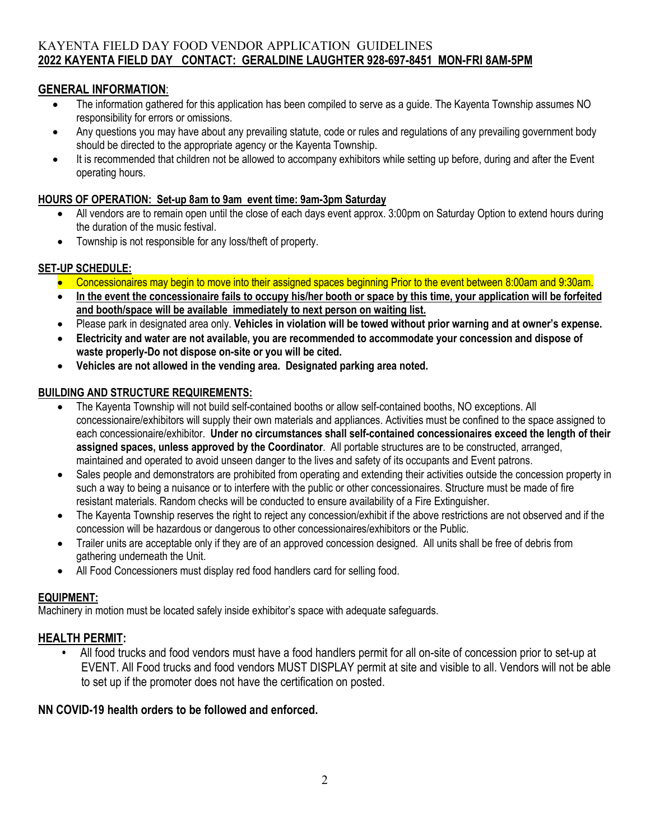## KAYENTA FIELD DAY FOOD VENDOR APPLICATION GUIDELINES **2022 KAYENTA FIELD DAY CONTACT: GERALDINE LAUGHTER 928-697-8451 MON-FRI 8AM-5PM**

## **GENERAL INFORMATION**:

- The information gathered for this application has been compiled to serve as a guide. The Kayenta Township assumes NO responsibility for errors or omissions.
- Any questions you may have about any prevailing statute, code or rules and regulations of any prevailing government body should be directed to the appropriate agency or the Kayenta Township.
- It is recommended that children not be allowed to accompany exhibitors while setting up before, during and after the Event operating hours.

#### **HOURS OF OPERATION: Set-up 8am to 9am event time: 9am-3pm Saturday**

- All vendors are to remain open until the close of each days event approx. 3:00pm on Saturday Option to extend hours during the duration of the music festival.
- Township is not responsible for any loss/theft of property.

## **SET-UP SCHEDULE:**

- Concessionaires may begin to move into their assigned spaces beginning Prior to the event between 8:00am and 9:30am.
- **In the event the concessionaire fails to occupy his/her booth or space by this time, your application will be forfeited and booth/space will be available immediately to next person on waiting list.**
- Please park in designated area only. **Vehicles in violation will be towed without prior warning and at owner's expense.**
- **Electricity and water are not available, you are recommended to accommodate your concession and dispose of waste properly-Do not dispose on-site or you will be cited.**
- **Vehicles are not allowed in the vending area. Designated parking area noted.**

#### **BUILDING AND STRUCTURE REQUIREMENTS:**

- The Kayenta Township will not build self-contained booths or allow self-contained booths, NO exceptions. All concessionaire/exhibitors will supply their own materials and appliances. Activities must be confined to the space assigned to each concessionaire/exhibitor. **Under no circumstances shall self-contained concessionaires exceed the length of their assigned spaces, unless approved by the Coordinator**. All portable structures are to be constructed, arranged, maintained and operated to avoid unseen danger to the lives and safety of its occupants and Event patrons.
- Sales people and demonstrators are prohibited from operating and extending their activities outside the concession property in such a way to being a nuisance or to interfere with the public or other concessionaires. Structure must be made of fire resistant materials. Random checks will be conducted to ensure availability of a Fire Extinguisher.
- The Kayenta Township reserves the right to reject any concession/exhibit if the above restrictions are not observed and if the concession will be hazardous or dangerous to other concessionaires/exhibitors or the Public.
- Trailer units are acceptable only if they are of an approved concession designed. All units shall be free of debris from gathering underneath the Unit.
- All Food Concessioners must display red food handlers card for selling food.

#### **EQUIPMENT:**

Machinery in motion must be located safely inside exhibitor's space with adequate safeguards.

## **HEALTH PERMIT:**

**•** All food trucks and food vendors must have a food handlers permit for all on-site of concession prior to set-up at EVENT. All Food trucks and food vendors MUST DISPLAY permit at site and visible to all. Vendors will not be able to set up if the promoter does not have the certification on posted.

## **NN COVID-19 health orders to be followed and enforced.**